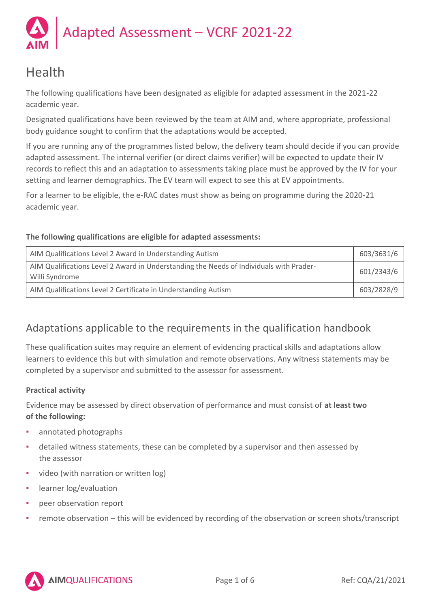

# Health

The following qualifications have been designated as eligible for adapted assessment in the 2021-22 academic year.

Designated qualifications have been reviewed by the team at AIM and, where appropriate, professional body guidance sought to confirm that the adaptations would be accepted.

If you are running any of the programmes listed below, the delivery team should decide if you can provide adapted assessment. The internal verifier (or direct claims verifier) will be expected to update their IV records to reflect this and an adaptation to assessments taking place must be approved by the IV for your setting and learner demographics. The EV team will expect to see this at EV appointments.

For a learner to be eligible, the e-RAC dates must show as being on programme during the 2020-21 academic year.

# **The following qualifications are eligible for adapted assessments:**

| AIM Qualifications Level 2 Award in Understanding Autism                                                  | 603/3631/6 |
|-----------------------------------------------------------------------------------------------------------|------------|
| AIM Qualifications Level 2 Award in Understanding the Needs of Individuals with Prader-<br>Willi Syndrome | 601/2343/6 |
| AIM Qualifications Level 2 Certificate in Understanding Autism                                            | 603/2828/9 |

# Adaptations applicable to the requirements in the qualification handbook

These qualification suites may require an element of evidencing practical skills and adaptations allow learners to evidence this but with simulation and remote observations. Any witness statements may be completed by a supervisor and submitted to the assessor for assessment.

# **Practical activity**

Evidence may be assessed by direct observation of performance and must consist of **at least two of the following:**

- annotated photographs
- detailed witness statements, these can be completed by a supervisor and then assessed by the assessor
- video (with narration or written log)
- learner log/evaluation
- peer observation report
- remote observation this will be evidenced by recording of the observation or screen shots/transcript